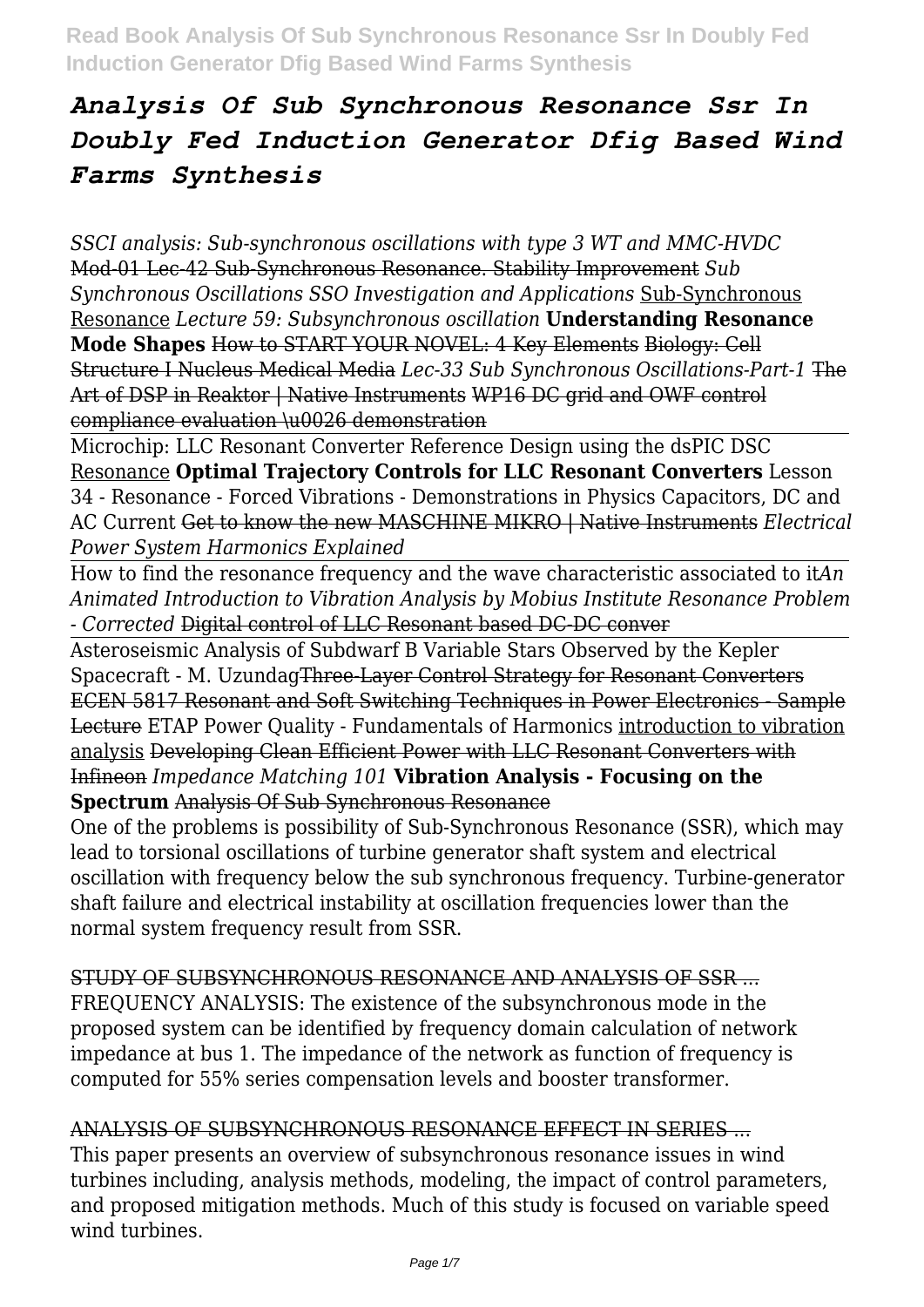*SSCI analysis: Sub-synchronous oscillations with type 3 WT and MMC-HVDC* Mod-01 Lec-42 Sub-Synchronous Resonance. Stability Improvement *Sub Synchronous Oscillations SSO Investigation and Applications* Sub-Synchronous Resonance *Lecture 59: Subsynchronous oscillation* **Understanding Resonance Mode Shapes** How to START YOUR NOVEL: 4 Key Elements Biology: Cell Structure I Nucleus Medical Media *Lec-33 Sub Synchronous Oscillations-Part-1* The Art of DSP in Reaktor | Native Instruments WP16 DC grid and OWF control compliance evaluation \u0026 demonstration

Microchip: LLC Resonant Converter Reference Design using the dsPIC DSC Resonance **Optimal Trajectory Controls for LLC Resonant Converters** Lesson 34 - Resonance - Forced Vibrations - Demonstrations in Physics Capacitors, DC and AC Current Get to know the new MASCHINE MIKRO | Native Instruments *Electrical Power System Harmonics Explained*

How to find the resonance frequency and the wave characteristic associated to it*An Animated Introduction to Vibration Analysis by Mobius Institute Resonance Problem - Corrected* Digital control of LLC Resonant based DC-DC conver

Asteroseismic Analysis of Subdwarf B Variable Stars Observed by the Kepler Spacecraft - M. UzundagThree-Layer Control Strategy for Resonant Converters ECEN 5817 Resonant and Soft Switching Techniques in Power Electronics - Sample Lecture ETAP Power Quality - Fundamentals of Harmonics introduction to vibration analysis Developing Clean Efficient Power with LLC Resonant Converters with Infineon *Impedance Matching 101* **Vibration Analysis - Focusing on the Spectrum** Analysis Of Sub Synchronous Resonance

One of the problems is possibility of Sub-Synchronous Resonance (SSR), which may lead to torsional oscillations of turbine generator shaft system and electrical oscillation with frequency below the sub synchronous frequency. Turbine-generator shaft failure and electrical instability at oscillation frequencies lower than the normal system frequency result from SSR.

STUDY OF SUBSYNCHRONOUS RESONANCE AND ANALYSIS OF SSR ... FREQUENCY ANALYSIS: The existence of the subsynchronous mode in the proposed system can be identified by frequency domain calculation of network impedance at bus 1. The impedance of the network as function of frequency is computed for 55% series compensation levels and booster transformer.

# ANALYSIS OF SUBSYNCHRONOUS RESONANCE EFFECT IN SERIES ...

This paper presents an overview of subsynchronous resonance issues in wind turbines including, analysis methods, modeling, the impact of control parameters, and proposed mitigation methods. Much of this study is focused on variable speed wind turbines.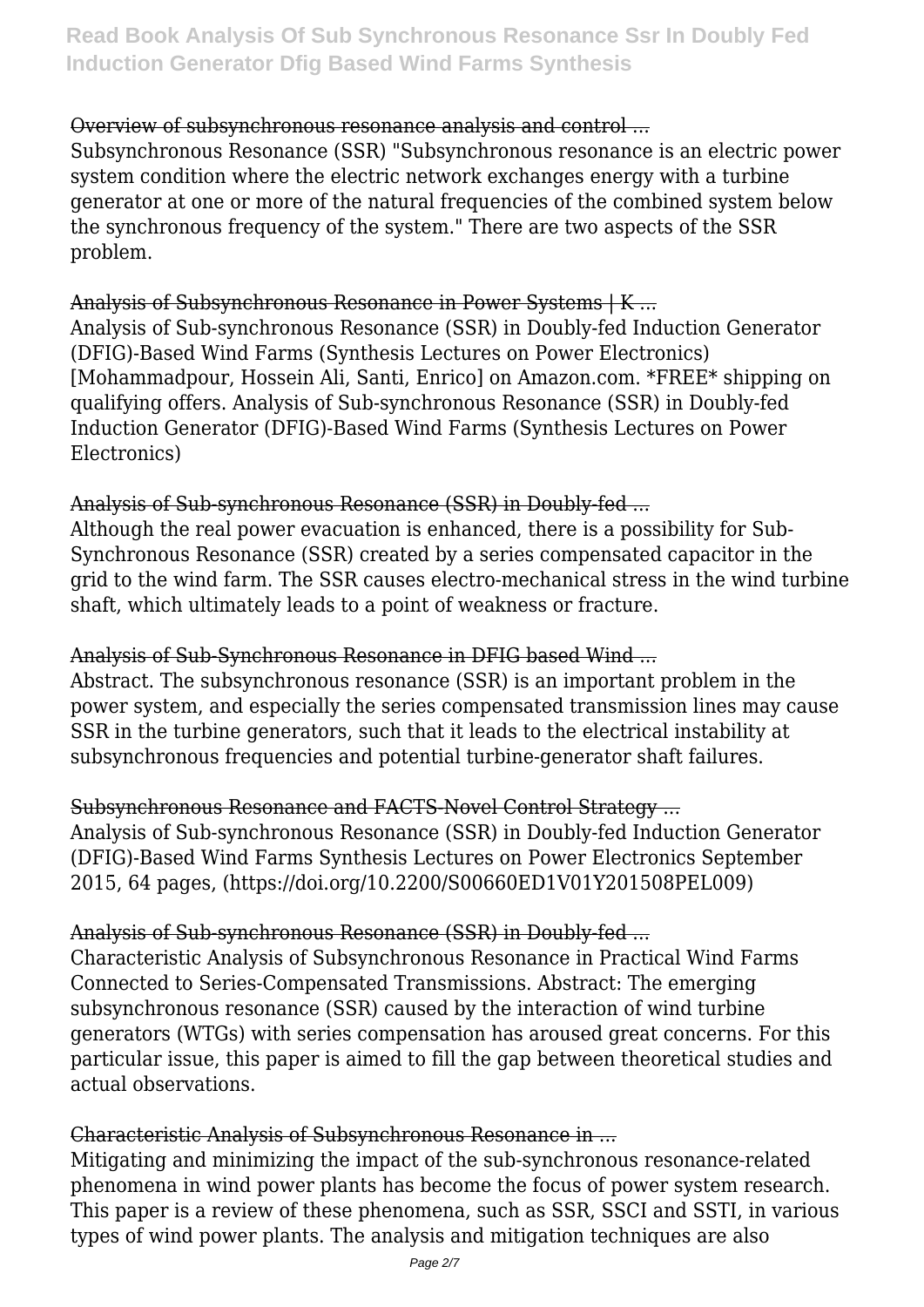# Overview of subsynchronous resonance analysis and control ...

Subsynchronous Resonance (SSR) "Subsynchronous resonance is an electric power system condition where the electric network exchanges energy with a turbine generator at one or more of the natural frequencies of the combined system below the synchronous frequency of the system." There are two aspects of the SSR problem.

# Analysis of Subsynchronous Resonance in Power Systems | K ...

Analysis of Sub-synchronous Resonance (SSR) in Doubly-fed Induction Generator (DFIG)-Based Wind Farms (Synthesis Lectures on Power Electronics) [Mohammadpour, Hossein Ali, Santi, Enrico] on Amazon.com. \*FREE\* shipping on qualifying offers. Analysis of Sub-synchronous Resonance (SSR) in Doubly-fed Induction Generator (DFIG)-Based Wind Farms (Synthesis Lectures on Power Electronics)

# Analysis of Sub-synchronous Resonance (SSR) in Doubly-fed ...

Although the real power evacuation is enhanced, there is a possibility for Sub-Synchronous Resonance (SSR) created by a series compensated capacitor in the grid to the wind farm. The SSR causes electro-mechanical stress in the wind turbine shaft, which ultimately leads to a point of weakness or fracture.

### Analysis of Sub-Synchronous Resonance in DFIG based Wind ...

Abstract. The subsynchronous resonance (SSR) is an important problem in the power system, and especially the series compensated transmission lines may cause SSR in the turbine generators, such that it leads to the electrical instability at subsynchronous frequencies and potential turbine-generator shaft failures.

Subsynchronous Resonance and FACTS-Novel Control Strategy ... Analysis of Sub-synchronous Resonance (SSR) in Doubly-fed Induction Generator (DFIG)-Based Wind Farms Synthesis Lectures on Power Electronics September 2015, 64 pages, (https://doi.org/10.2200/S00660ED1V01Y201508PEL009)

# Analysis of Sub-synchronous Resonance (SSR) in Doubly-fed ...

Characteristic Analysis of Subsynchronous Resonance in Practical Wind Farms Connected to Series-Compensated Transmissions. Abstract: The emerging subsynchronous resonance (SSR) caused by the interaction of wind turbine generators (WTGs) with series compensation has aroused great concerns. For this particular issue, this paper is aimed to fill the gap between theoretical studies and actual observations.

# Characteristic Analysis of Subsynchronous Resonance in ...

Mitigating and minimizing the impact of the sub-synchronous resonance-related phenomena in wind power plants has become the focus of power system research. This paper is a review of these phenomena, such as SSR, SSCI and SSTI, in various types of wind power plants. The analysis and mitigation techniques are also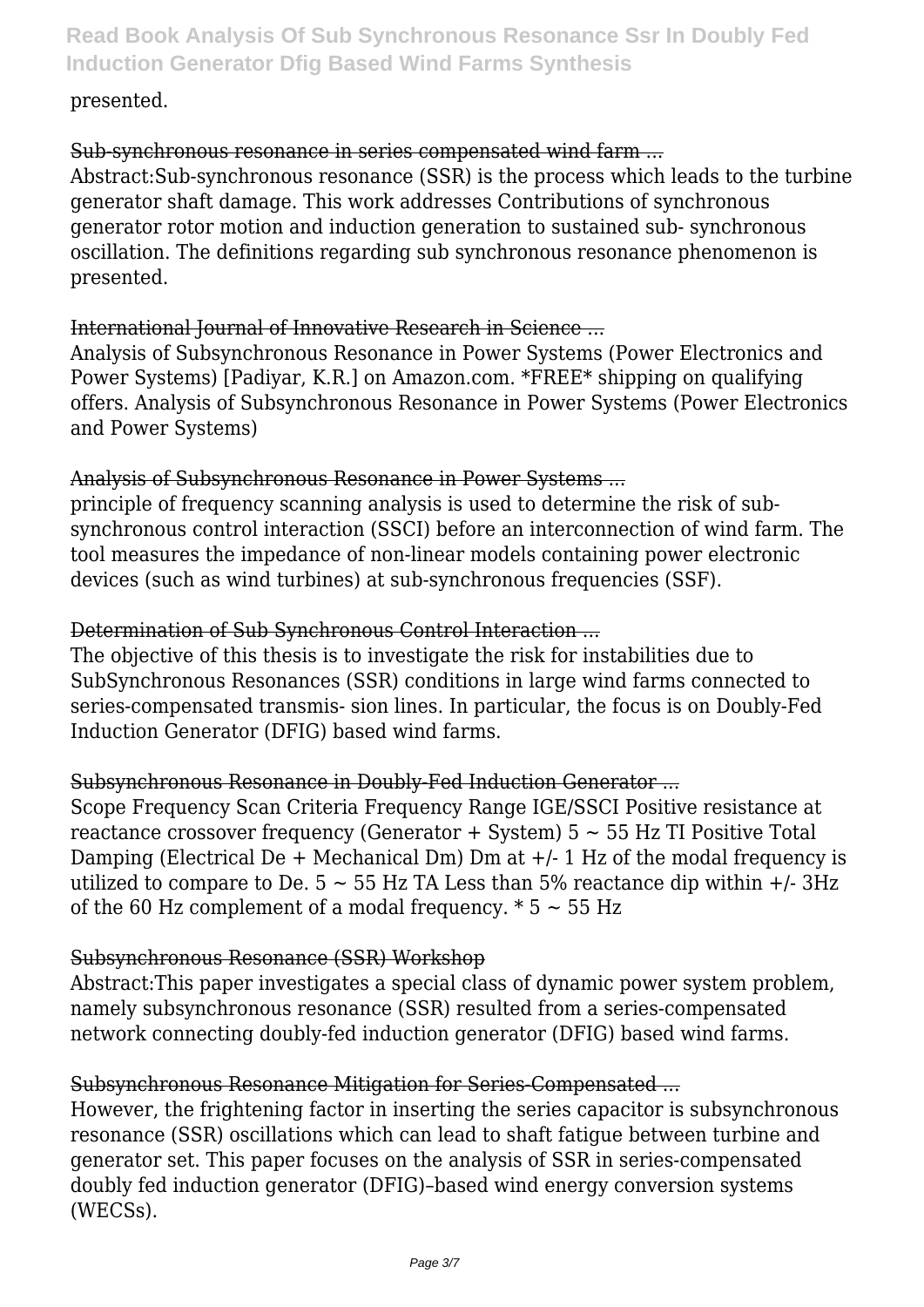#### presented.

### Sub-synchronous resonance in series compensated wind farm ...

Abstract:Sub-synchronous resonance (SSR) is the process which leads to the turbine generator shaft damage. This work addresses Contributions of synchronous generator rotor motion and induction generation to sustained sub- synchronous oscillation. The definitions regarding sub synchronous resonance phenomenon is presented.

#### International Journal of Innovative Research in Science ...

Analysis of Subsynchronous Resonance in Power Systems (Power Electronics and Power Systems) [Padiyar, K.R.] on Amazon.com. \*FREE\* shipping on qualifying offers. Analysis of Subsynchronous Resonance in Power Systems (Power Electronics and Power Systems)

### Analysis of Subsynchronous Resonance in Power Systems ...

principle of frequency scanning analysis is used to determine the risk of subsynchronous control interaction (SSCI) before an interconnection of wind farm. The tool measures the impedance of non-linear models containing power electronic devices (such as wind turbines) at sub-synchronous frequencies (SSF).

## Determination of Sub Synchronous Control Interaction ...

The objective of this thesis is to investigate the risk for instabilities due to SubSynchronous Resonances (SSR) conditions in large wind farms connected to series-compensated transmis- sion lines. In particular, the focus is on Doubly-Fed Induction Generator (DFIG) based wind farms.

### Subsynchronous Resonance in Doubly-Fed Induction Generator ...

Scope Frequency Scan Criteria Frequency Range IGE/SSCI Positive resistance at reactance crossover frequency (Generator  $+$  System)  $5 \sim 55$  Hz TI Positive Total Damping (Electrical De  $+$  Mechanical Dm) Dm at  $+/-1$  Hz of the modal frequency is utilized to compare to De.  $5 \sim 55$  Hz TA Less than 5% reactance dip within  $+/-3$ Hz of the 60 Hz complement of a modal frequency.  $* 5 \sim 55$  Hz

### Subsynchronous Resonance (SSR) Workshop

Abstract:This paper investigates a special class of dynamic power system problem, namely subsynchronous resonance (SSR) resulted from a series-compensated network connecting doubly-fed induction generator (DFIG) based wind farms.

### Subsynchronous Resonance Mitigation for Series-Compensated ...

However, the frightening factor in inserting the series capacitor is subsynchronous resonance (SSR) oscillations which can lead to shaft fatigue between turbine and generator set. This paper focuses on the analysis of SSR in series‐compensated doubly fed induction generator (DFIG)–based wind energy conversion systems (WECSs).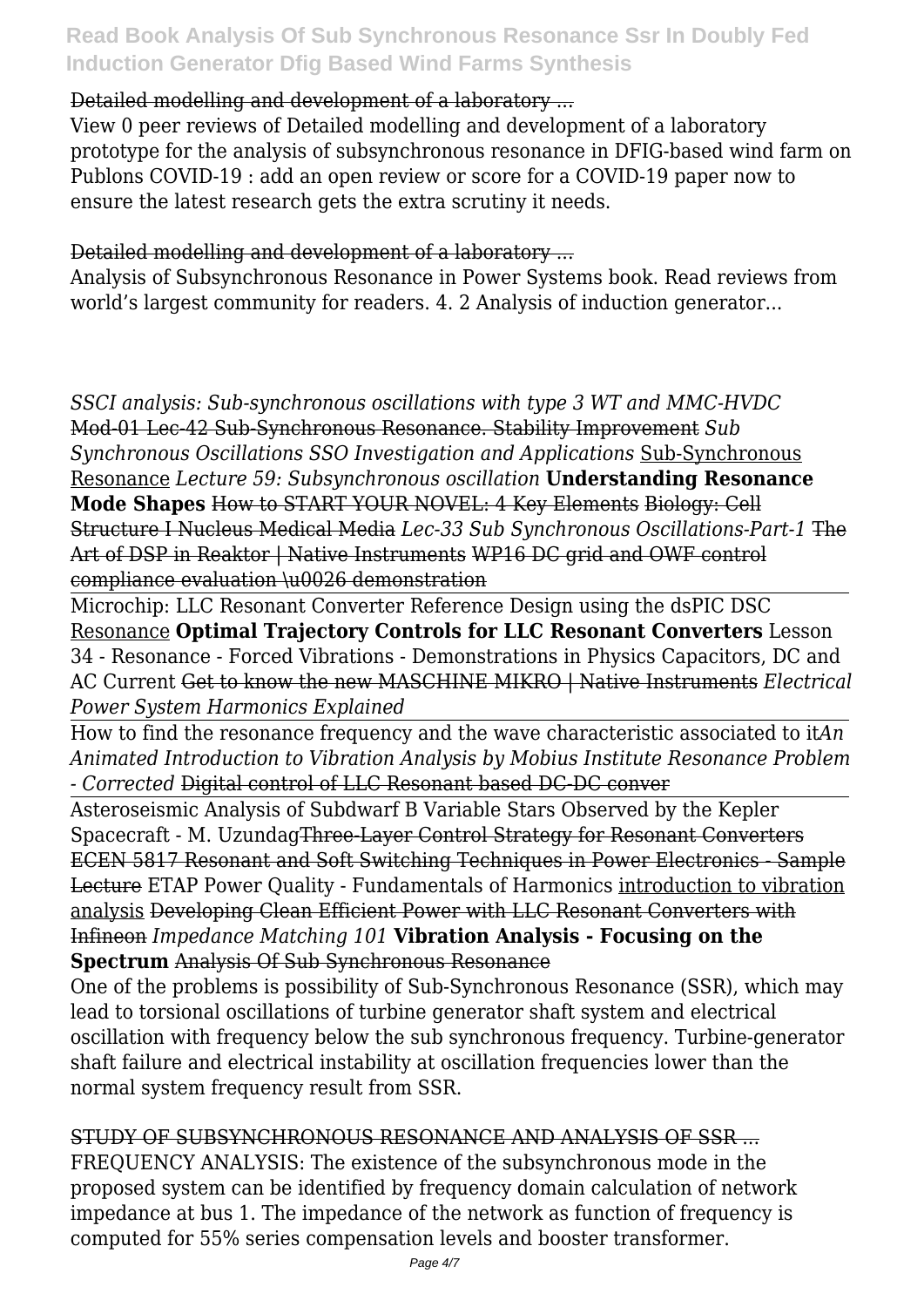# Detailed modelling and development of a laboratory ...

View 0 peer reviews of Detailed modelling and development of a laboratory prototype for the analysis of subsynchronous resonance in DFIG-based wind farm on Publons COVID-19 : add an open review or score for a COVID-19 paper now to ensure the latest research gets the extra scrutiny it needs.

# Detailed modelling and development of a laboratory ...

Analysis of Subsynchronous Resonance in Power Systems book. Read reviews from world's largest community for readers. 4. 2 Analysis of induction generator...

*SSCI analysis: Sub-synchronous oscillations with type 3 WT and MMC-HVDC* Mod-01 Lec-42 Sub-Synchronous Resonance. Stability Improvement *Sub Synchronous Oscillations SSO Investigation and Applications* Sub-Synchronous Resonance *Lecture 59: Subsynchronous oscillation* **Understanding Resonance Mode Shapes** How to START YOUR NOVEL: 4 Key Elements Biology: Cell Structure I Nucleus Medical Media *Lec-33 Sub Synchronous Oscillations-Part-1* The Art of DSP in Reaktor | Native Instruments WP16 DC grid and OWF control compliance evaluation \u0026 demonstration

Microchip: LLC Resonant Converter Reference Design using the dsPIC DSC Resonance **Optimal Trajectory Controls for LLC Resonant Converters** Lesson 34 - Resonance - Forced Vibrations - Demonstrations in Physics Capacitors, DC and AC Current Get to know the new MASCHINE MIKRO | Native Instruments *Electrical Power System Harmonics Explained*

How to find the resonance frequency and the wave characteristic associated to it*An Animated Introduction to Vibration Analysis by Mobius Institute Resonance Problem - Corrected* Digital control of LLC Resonant based DC-DC conver

Asteroseismic Analysis of Subdwarf B Variable Stars Observed by the Kepler Spacecraft - M. UzundagThree-Layer Control Strategy for Resonant Converters ECEN 5817 Resonant and Soft Switching Techniques in Power Electronics - Sample Lecture ETAP Power Quality - Fundamentals of Harmonics introduction to vibration analysis Developing Clean Efficient Power with LLC Resonant Converters with Infineon *Impedance Matching 101* **Vibration Analysis - Focusing on the Spectrum** Analysis Of Sub Synchronous Resonance

One of the problems is possibility of Sub-Synchronous Resonance (SSR), which may lead to torsional oscillations of turbine generator shaft system and electrical oscillation with frequency below the sub synchronous frequency. Turbine-generator shaft failure and electrical instability at oscillation frequencies lower than the normal system frequency result from SSR.

STUDY OF SUBSYNCHRONOUS RESONANCE AND ANALYSIS OF SSR ...

FREQUENCY ANALYSIS: The existence of the subsynchronous mode in the proposed system can be identified by frequency domain calculation of network impedance at bus 1. The impedance of the network as function of frequency is computed for 55% series compensation levels and booster transformer.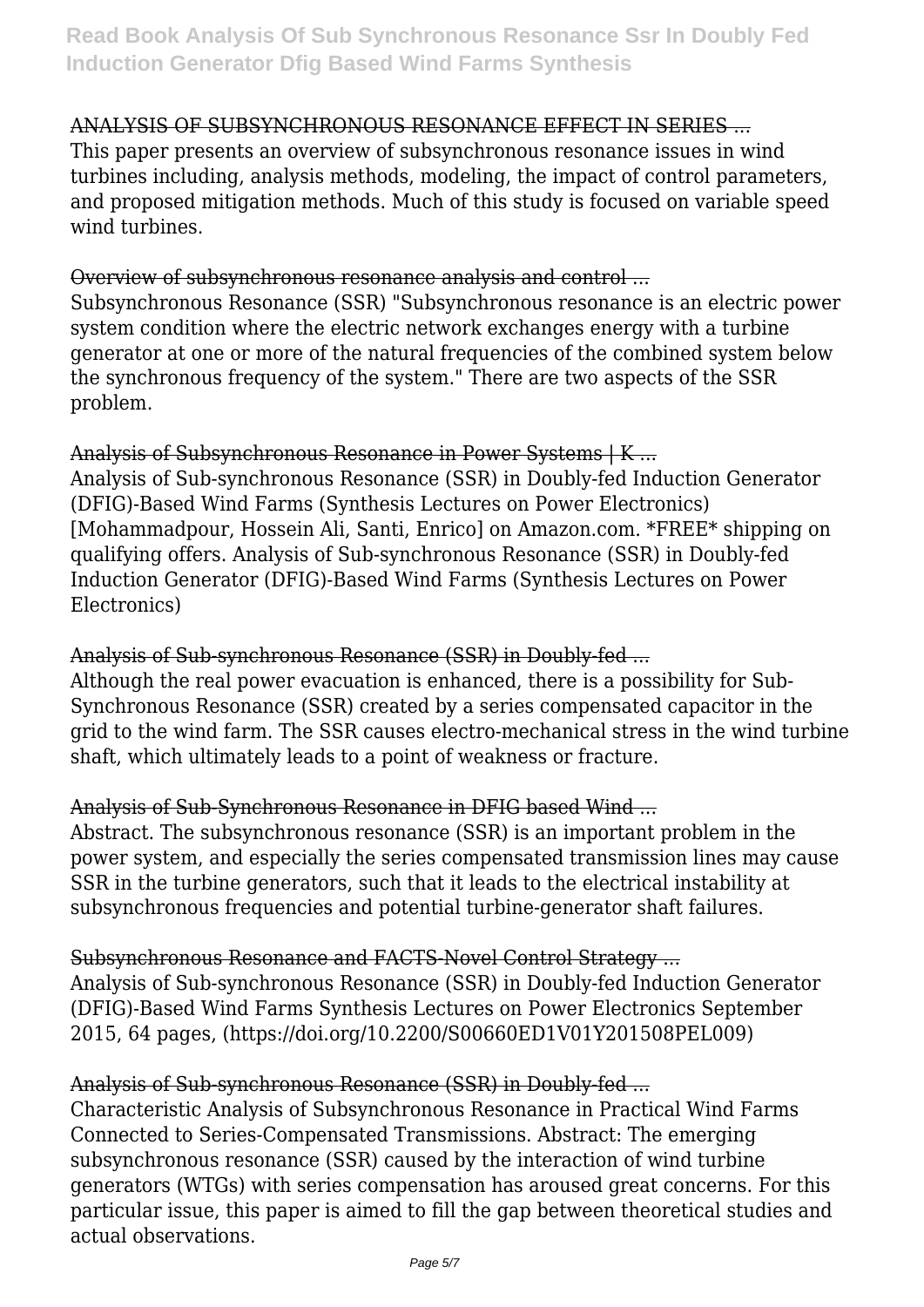# ANALYSIS OF SUBSYNCHRONOUS RESONANCE EFFECT IN SERIES ...

This paper presents an overview of subsynchronous resonance issues in wind turbines including, analysis methods, modeling, the impact of control parameters, and proposed mitigation methods. Much of this study is focused on variable speed wind turbines.

## Overview of subsynchronous resonance analysis and control ...

Subsynchronous Resonance (SSR) "Subsynchronous resonance is an electric power system condition where the electric network exchanges energy with a turbine generator at one or more of the natural frequencies of the combined system below the synchronous frequency of the system." There are two aspects of the SSR problem.

# Analysis of Subsynchronous Resonance in Power Systems | K ...

Analysis of Sub-synchronous Resonance (SSR) in Doubly-fed Induction Generator (DFIG)-Based Wind Farms (Synthesis Lectures on Power Electronics) [Mohammadpour, Hossein Ali, Santi, Enrico] on Amazon.com. \*FREE\* shipping on qualifying offers. Analysis of Sub-synchronous Resonance (SSR) in Doubly-fed Induction Generator (DFIG)-Based Wind Farms (Synthesis Lectures on Power Electronics)

# Analysis of Sub-synchronous Resonance (SSR) in Doubly-fed ...

Although the real power evacuation is enhanced, there is a possibility for Sub-Synchronous Resonance (SSR) created by a series compensated capacitor in the grid to the wind farm. The SSR causes electro-mechanical stress in the wind turbine shaft, which ultimately leads to a point of weakness or fracture.

# Analysis of Sub-Synchronous Resonance in DFIG based Wind ...

Abstract. The subsynchronous resonance (SSR) is an important problem in the power system, and especially the series compensated transmission lines may cause SSR in the turbine generators, such that it leads to the electrical instability at subsynchronous frequencies and potential turbine-generator shaft failures.

Subsynchronous Resonance and FACTS-Novel Control Strategy ... Analysis of Sub-synchronous Resonance (SSR) in Doubly-fed Induction Generator (DFIG)-Based Wind Farms Synthesis Lectures on Power Electronics September 2015, 64 pages, (https://doi.org/10.2200/S00660ED1V01Y201508PEL009)

### Analysis of Sub-synchronous Resonance (SSR) in Doubly-fed ...

Characteristic Analysis of Subsynchronous Resonance in Practical Wind Farms Connected to Series-Compensated Transmissions. Abstract: The emerging subsynchronous resonance (SSR) caused by the interaction of wind turbine generators (WTGs) with series compensation has aroused great concerns. For this particular issue, this paper is aimed to fill the gap between theoretical studies and actual observations.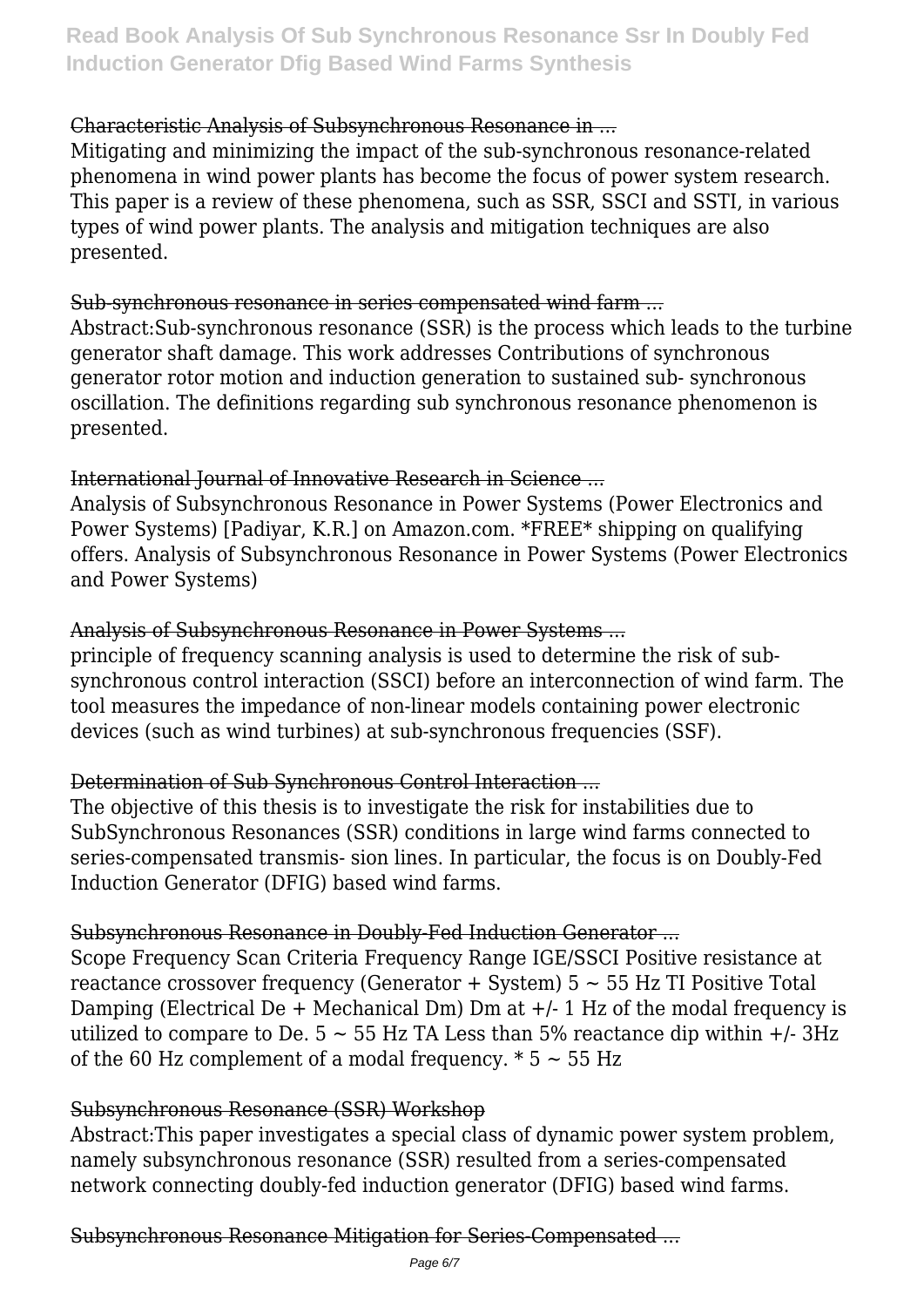# Characteristic Analysis of Subsynchronous Resonance in ...

Mitigating and minimizing the impact of the sub-synchronous resonance-related phenomena in wind power plants has become the focus of power system research. This paper is a review of these phenomena, such as SSR, SSCI and SSTI, in various types of wind power plants. The analysis and mitigation techniques are also presented.

# Sub-synchronous resonance in series compensated wind farm ...

Abstract:Sub-synchronous resonance (SSR) is the process which leads to the turbine generator shaft damage. This work addresses Contributions of synchronous generator rotor motion and induction generation to sustained sub- synchronous oscillation. The definitions regarding sub synchronous resonance phenomenon is presented.

# International Journal of Innovative Research in Science ...

Analysis of Subsynchronous Resonance in Power Systems (Power Electronics and Power Systems) [Padiyar, K.R.] on Amazon.com. \*FREE\* shipping on qualifying offers. Analysis of Subsynchronous Resonance in Power Systems (Power Electronics and Power Systems)

## Analysis of Subsynchronous Resonance in Power Systems ...

principle of frequency scanning analysis is used to determine the risk of subsynchronous control interaction (SSCI) before an interconnection of wind farm. The tool measures the impedance of non-linear models containing power electronic devices (such as wind turbines) at sub-synchronous frequencies (SSF).

# Determination of Sub Synchronous Control Interaction ...

The objective of this thesis is to investigate the risk for instabilities due to SubSynchronous Resonances (SSR) conditions in large wind farms connected to series-compensated transmis- sion lines. In particular, the focus is on Doubly-Fed Induction Generator (DFIG) based wind farms.

### Subsynchronous Resonance in Doubly-Fed Induction Generator ...

Scope Frequency Scan Criteria Frequency Range IGE/SSCI Positive resistance at reactance crossover frequency (Generator  $+$  System)  $5 \sim 55$  Hz TI Positive Total Damping (Electrical De + Mechanical Dm) Dm at  $+/-1$  Hz of the modal frequency is utilized to compare to De.  $5 \sim 55$  Hz TA Less than 5% reactance dip within  $+/-3$ Hz of the 60 Hz complement of a modal frequency.  $* 5 \sim 55$  Hz

# Subsynchronous Resonance (SSR) Workshop

Abstract:This paper investigates a special class of dynamic power system problem, namely subsynchronous resonance (SSR) resulted from a series-compensated network connecting doubly-fed induction generator (DFIG) based wind farms.

Subsynchronous Resonance Mitigation for Series-Compensated ...